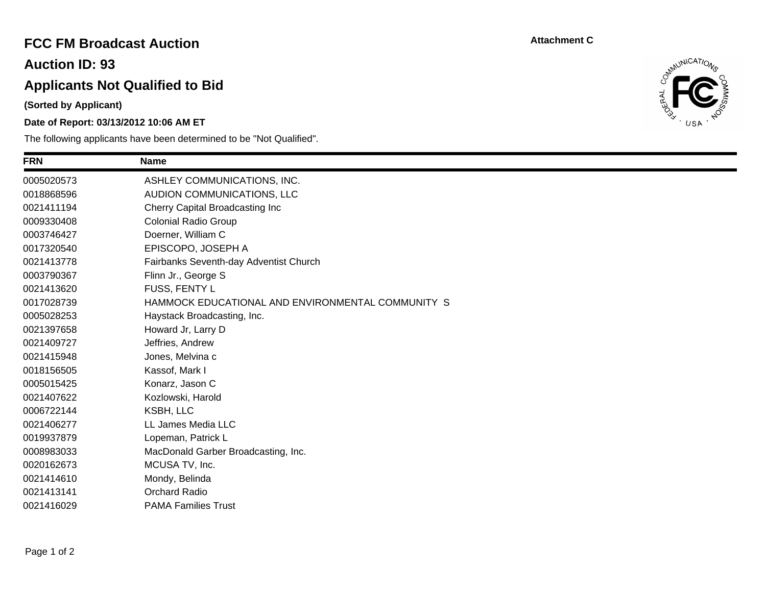### **FCC FM Broadcast Auction**

**Auction ID: 93**

# **Applicants Not Qualified to Bid**

**(Sorted by Applicant)**

#### **Date of Report: 03/13/2012 10:06 AM ET**

The following applicants have been determined to be "Not Qualified".

**Attachment C**



| <b>FRN</b> | <b>Name</b>                                       |
|------------|---------------------------------------------------|
| 0005020573 | ASHLEY COMMUNICATIONS, INC.                       |
| 0018868596 | AUDION COMMUNICATIONS, LLC                        |
| 0021411194 | Cherry Capital Broadcasting Inc                   |
| 0009330408 | <b>Colonial Radio Group</b>                       |
| 0003746427 | Doerner, William C                                |
| 0017320540 | EPISCOPO, JOSEPH A                                |
| 0021413778 | Fairbanks Seventh-day Adventist Church            |
| 0003790367 | Flinn Jr., George S                               |
| 0021413620 | FUSS, FENTY L                                     |
| 0017028739 | HAMMOCK EDUCATIONAL AND ENVIRONMENTAL COMMUNITY S |
| 0005028253 | Haystack Broadcasting, Inc.                       |
| 0021397658 | Howard Jr, Larry D                                |
| 0021409727 | Jeffries, Andrew                                  |
| 0021415948 | Jones, Melvina c                                  |
| 0018156505 | Kassof, Mark I                                    |
| 0005015425 | Konarz, Jason C                                   |
| 0021407622 | Kozlowski, Harold                                 |
| 0006722144 | KSBH, LLC                                         |
| 0021406277 | LL James Media LLC                                |
| 0019937879 | Lopeman, Patrick L                                |
| 0008983033 | MacDonald Garber Broadcasting, Inc.               |
| 0020162673 | MCUSA TV, Inc.                                    |
| 0021414610 | Mondy, Belinda                                    |
| 0021413141 | <b>Orchard Radio</b>                              |
| 0021416029 | <b>PAMA Families Trust</b>                        |